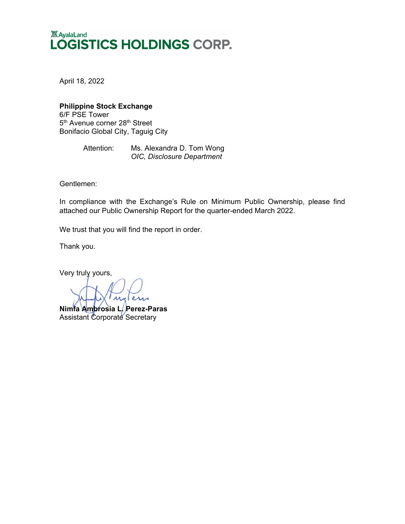## **XX** AyalaLand LOGISTICS HOLDINGS CORP.

April 18, 2022

## **Philippine Stock Exchange**

6/F PSE Tower 5<sup>th</sup> Avenue corner 28<sup>th</sup> Street Bonifacio Global City, Taguig City

> Attention: Ms. Alexandra D. Tom Wong *OIC, Disclosure Department*

Gentlemen:

In compliance with the Exchange's Rule on Minimum Public Ownership, please find attached our Public Ownership Report for the quarter-ended March 2022.

We trust that you will find the report in order.

Thank you.

Very truly yours,

 $\overline{\lambda}$ glares **Nimfa Ambrosia L. Perez-Paras** Assistant Corporate Secretary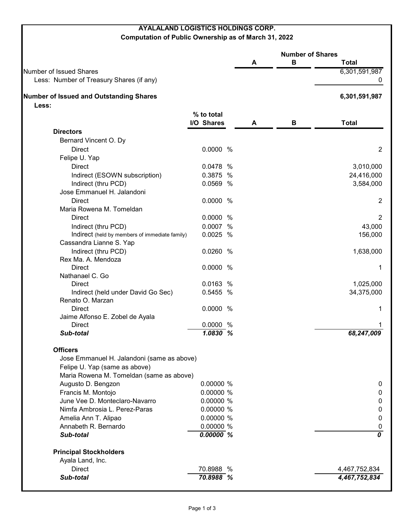## **AYALALAND LOGISTICS HOLDINGS CORP.**

**Computation of Public Ownership as of March 31, 2022**

|                                                |             | <b>Number of Shares</b> |   |                |
|------------------------------------------------|-------------|-------------------------|---|----------------|
|                                                |             | A                       | В | <b>Total</b>   |
| <b>Number of Issued Shares</b>                 |             |                         |   | 6,301,591,987  |
| Less: Number of Treasury Shares (if any)       |             |                         |   | 0              |
| <b>Number of Issued and Outstanding Shares</b> |             |                         |   | 6,301,591,987  |
| Less:                                          |             |                         |   |                |
|                                                | % to total  |                         |   |                |
|                                                | I/O Shares  | A                       | В | <b>Total</b>   |
| <b>Directors</b>                               |             |                         |   |                |
| Bernard Vincent O. Dy                          |             |                         |   |                |
| <b>Direct</b>                                  | 0.0000 %    |                         |   | $\overline{2}$ |
| Felipe U. Yap                                  |             |                         |   |                |
| <b>Direct</b>                                  | 0.0478 %    |                         |   | 3,010,000      |
| Indirect (ESOWN subscription)                  | 0.3875 %    |                         |   | 24,416,000     |
| Indirect (thru PCD)                            | 0.0569 %    |                         |   | 3,584,000      |
| Jose Emmanuel H. Jalandoni                     |             |                         |   |                |
| <b>Direct</b>                                  | 0.0000 %    |                         |   | 2              |
| Maria Rowena M. Tomeldan                       |             |                         |   |                |
| <b>Direct</b>                                  | 0.0000 %    |                         |   | $\overline{2}$ |
| Indirect (thru PCD)                            | 0.0007 %    |                         |   | 43,000         |
| Indirect (held by members of immediate family) | 0.0025 %    |                         |   | 156,000        |
| Cassandra Lianne S. Yap                        |             |                         |   |                |
| Indirect (thru PCD)                            | 0.0260 %    |                         |   | 1,638,000      |
| Rex Ma. A. Mendoza                             |             |                         |   |                |
| <b>Direct</b>                                  | 0.0000 %    |                         |   | 1              |
| Nathanael C. Go                                |             |                         |   |                |
| <b>Direct</b>                                  | 0.0163 %    |                         |   | 1,025,000      |
| Indirect (held under David Go Sec)             | 0.5455 %    |                         |   | 34,375,000     |
| Renato O. Marzan                               |             |                         |   |                |
| <b>Direct</b>                                  | 0.0000 %    |                         |   | 1              |
| Jaime Alfonso E. Zobel de Ayala                |             |                         |   |                |
| <b>Direct</b>                                  | 0.0000 %    |                         |   |                |
| Sub-total                                      | 1.0830 %    |                         |   | 68,247,009     |
| <b>Officers</b>                                |             |                         |   |                |
| Jose Emmanuel H. Jalandoni (same as above)     |             |                         |   |                |
| Felipe U. Yap (same as above)                  |             |                         |   |                |
| Maria Rowena M. Tomeldan (same as above)       |             |                         |   |                |
| Augusto D. Bengzon                             | 0.00000 %   |                         |   | 0              |
| Francis M. Montojo                             | 0.00000 %   |                         |   | $\pmb{0}$      |
| June Vee D. Monteclaro-Navarro                 | 0.00000 %   |                         |   | $\pmb{0}$      |
| Nimfa Ambrosia L. Perez-Paras                  | 0.00000 %   |                         |   | $\pmb{0}$      |
| Amelia Ann T. Alipao                           | 0.00000 %   |                         |   | $\mathbf 0$    |
| Annabeth R. Bernardo                           | 0.00000 %   |                         |   | $\pmb{0}$      |
| Sub-total                                      | $0.00000\%$ |                         |   | 0              |
| <b>Principal Stockholders</b>                  |             |                         |   |                |
| Ayala Land, Inc.                               |             |                         |   |                |
| <b>Direct</b>                                  | 70.8988 %   |                         |   | 4,467,752,834  |
| Sub-total                                      | 70.8988 %   |                         |   | 4,467,752,834  |
|                                                |             |                         |   |                |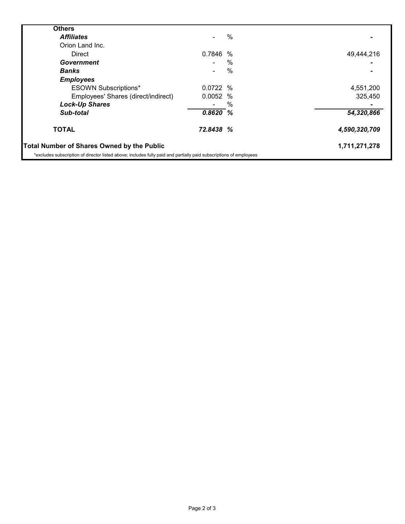| <b>Others</b>                                                                                                      |           |      |               |
|--------------------------------------------------------------------------------------------------------------------|-----------|------|---------------|
| <b>Affiliates</b>                                                                                                  |           | $\%$ |               |
| Orion Land Inc.                                                                                                    |           |      |               |
| <b>Direct</b>                                                                                                      | 0.7846    | $\%$ | 49,444,216    |
| Government                                                                                                         |           | %    |               |
| <b>Banks</b>                                                                                                       |           | %    |               |
| <b>Employees</b>                                                                                                   |           |      |               |
| <b>ESOWN Subscriptions*</b>                                                                                        | 0.0722%   |      | 4,551,200     |
| Employees' Shares (direct/indirect)                                                                                | 0.0052    | $\%$ | 325,450       |
| <b>Lock-Up Shares</b>                                                                                              |           | $\%$ |               |
| Sub-total                                                                                                          | 0.8620%   |      | 54,320,866    |
| <b>TOTAL</b>                                                                                                       | 72.8438 % |      | 4,590,320,709 |
| <b>Total Number of Shares Owned by the Public</b>                                                                  |           |      | 1,711,271,278 |
| *excludes subscription of director listed above; includes fully paid and partially paid subscriptions of employees |           |      |               |